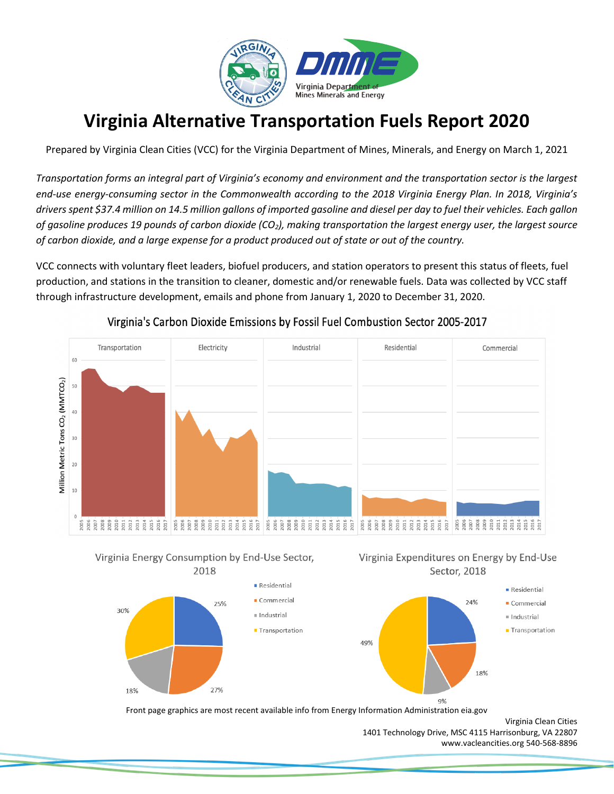

# **Virginia Alternative Transportation Fuels Report 2020**

Prepared by Virginia Clean Cities (VCC) for the Virginia Department of Mines, Minerals, and Energy on March 1, 2021

*Transportation forms an integral part of Virginia's economy and environment and the transportation sector is the largest end-use energy-consuming sector in the Commonwealth according to the 2018 Virginia Energy Plan. In 2018, Virginia's drivers spent \$37.4 million on 14.5 million gallons of imported gasoline and diesel per day to fuel their vehicles. Each gallon of gasoline produces 19 pounds of carbon dioxide (CO2), making transportation the largest energy user, the largest source of carbon dioxide, and a large expense for a product produced out of state or out of the country.* 

VCC connects with voluntary fleet leaders, biofuel producers, and station operators to present this status of fleets, fuel production, and stations in the transition to cleaner, domestic and/or renewable fuels. Data was collected by VCC staff through infrastructure development, emails and phone from January 1, 2020 to December 31, 2020.



#### Virginia's Carbon Dioxide Emissions by Fossil Fuel Combustion Sector 2005-2017



30%

18%

25%

27%





Front page graphics are most recent available info from Energy Information Administration eia.gov

Residential

 $C$ ommercial

■ Transportation

Industrial

1401 Technology Drive, MSC 4115 Harrisonburg, VA 22807 [www.vacleancities.org](http://www.vacleancities.org/) 540-568-8896

Virginia Clean Cities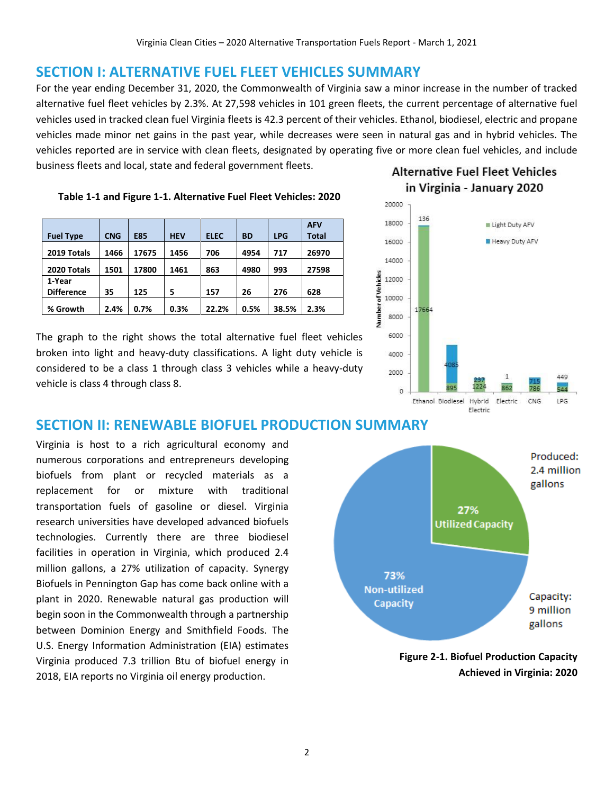### **SECTION I: ALTERNATIVE FUEL FLEET VEHICLES SUMMARY**

For the year ending December 31, 2020, the Commonwealth of Virginia saw a minor increase in the number of tracked alternative fuel fleet vehicles by 2.3%. At 27,598 vehicles in 101 green fleets, the current percentage of alternative fuel vehicles used in tracked clean fuel Virginia fleets is 42.3 percent of their vehicles. Ethanol, biodiesel, electric and propane vehicles made minor net gains in the past year, while decreases were seen in natural gas and in hybrid vehicles. The vehicles reported are in service with clean fleets, designated by operating five or more clean fuel vehicles, and include business fleets and local, state and federal government fleets.

#### **Table 1-1 and Figure 1-1. Alternative Fuel Fleet Vehicles: 2020**

| <b>Fuel Type</b>            | <b>CNG</b> | <b>E85</b> | <b>HEV</b> | <b>ELEC</b> | <b>BD</b> | <b>LPG</b> | <b>AFV</b><br><b>Total</b> |
|-----------------------------|------------|------------|------------|-------------|-----------|------------|----------------------------|
| 2019 Totals                 | 1466       | 17675      | 1456       | 706         | 4954      | 717        | 26970                      |
| 2020 Totals                 | 1501       | 17800      | 1461       | 863         | 4980      | 993        | 27598                      |
| 1-Year<br><b>Difference</b> | 35         | 125        | 5          | 157         | 26        | 276        | 628                        |
| % Growth                    | 2.4%       | 0.7%       | 0.3%       | 22.2%       | 0.5%      | 38.5%      | 2.3%                       |

The graph to the right shows the total alternative fuel fleet vehicles broken into light and heavy-duty classifications. A light duty vehicle is considered to be a class 1 through class 3 vehicles while a heavy-duty vehicle is class 4 through class 8.

### **Alternative Fuel Fleet Vehicles** in Virginia - January 2020



## **SECTION II: RENEWABLE BIOFUEL PRODUCTION SUMMARY**

Virginia is host to a rich agricultural economy and numerous corporations and entrepreneurs developing biofuels from plant or recycled materials as a replacement for or mixture with traditional transportation fuels of gasoline or diesel. Virginia research universities have developed advanced biofuels technologies. Currently there are three biodiesel facilities in operation in Virginia, which produced 2.4 million gallons, a 27% utilization of capacity. Synergy Biofuels in Pennington Gap has come back online with a plant in 2020. Renewable natural gas production will begin soon in the Commonwealth through a partnership between Dominion Energy and Smithfield Foods. The U.S. Energy Information Administration (EIA) estimates Virginia produced 7.3 trillion Btu of biofuel energy in 2018, EIA reports no Virginia oil energy production.



**Figure 2-1. Biofuel Production Capacity Achieved in Virginia: 2020**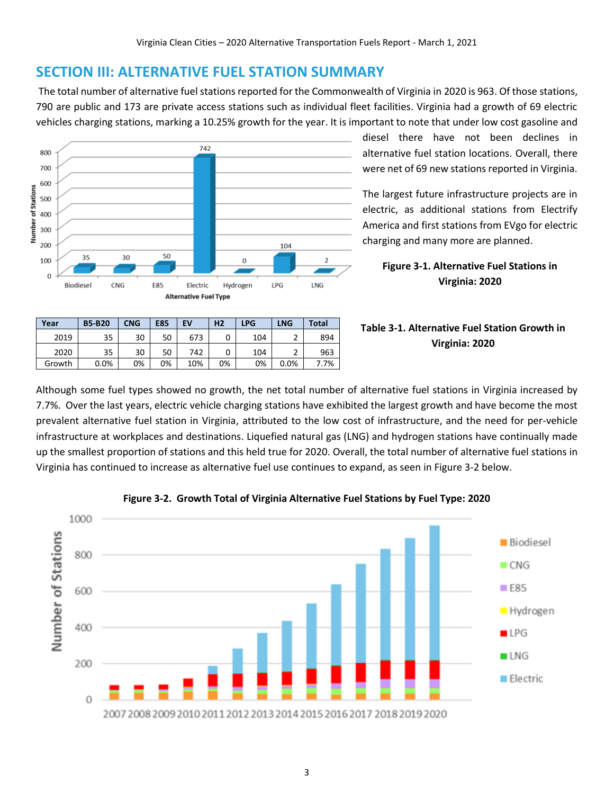### **SECTION III: ALTERNATIVE FUEL STATION SUMMARY**

The total number of alternative fuel stations reported for the Commonwealth of Virginia in 2020 is 963. Of those stations, 790 are public and 173 are private access stations such as individual fleet facilities. Virginia had a growth of 69 electric vehicles charging stations, marking a 10.25% growth for the year. It is important to note that under low cost gasoline and



**Year B5-B20 CNG E85 EV H2 LPG LNG Total** 2019 35 30 50 673 0 104 2 894 2020 35 30 50 742 0 104 2 963 Growth 0.0% 0% 0% 10% 0% 0% 0.0% 7.7% diesel there have not been declines in alternative fuel station locations. Overall, there were net of 69 new stations reported in Virginia.

The largest future infrastructure projects are in electric, as additional stations from Electrify America and first stations from EVgo for electric charging and many more are planned.

**Figure 3-1. Alternative Fuel Stations in Virginia: 2020**

#### **Table 3-1. Alternative Fuel Station Growth in Virginia: 2020**

Although some fuel types showed no growth, the net total number of alternative fuel stations in Virginia increased by 7.7%. Over the last years, electric vehicle charging stations have exhibited the largest growth and have become the most prevalent alternative fuel station in Virginia, attributed to the low cost of infrastructure, and the need for per-vehicle infrastructure at workplaces and destinations. Liquefied natural gas (LNG) and hydrogen stations have continually made up the smallest proportion of stations and this held true for 2020. Overall, the total number of alternative fuel stations in Virginia has continued to increase as alternative fuel use continues to expand, as seen in Figure 3-2 below.



#### **Figure 3-2. Growth Total of Virginia Alternative Fuel Stations by Fuel Type: 2020**